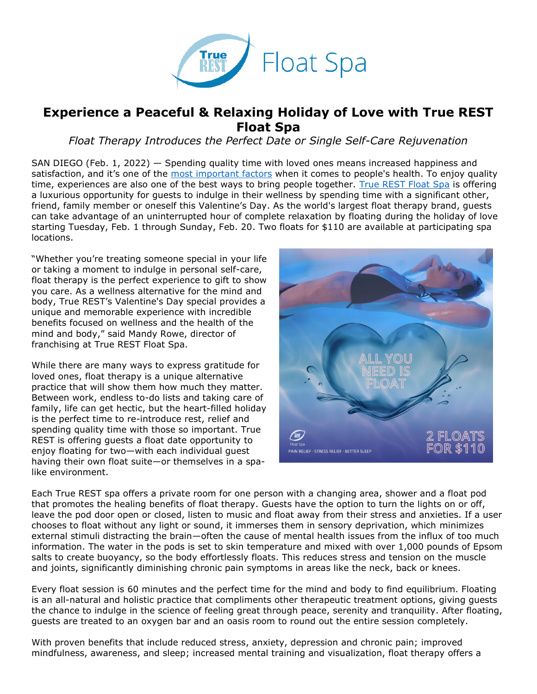

## **Experience a Peaceful & Relaxing Holiday of Love with True REST Float Spa**

*Float Therapy Introduces the Perfect Date or Single Self-Care Rejuvenation*

SAN DIEGO (Feb. 1, 2022) — Spending quality time with loved ones means increased happiness and satisfaction, and it's one of the [most important factors](https://ourworldindata.org/happiness-and-friends) when it comes to people's health. To enjoy quality time, experiences are also one of the best ways to bring people together. [True REST Float Spa](https://truerest.com/about-us/?utm_source=PR&utm_medium=True+REST+PR&utm_campaign=True+REST+Valentine%27s+Day+PR+2022&utm_content=Experience+a+Peaceful+%26+Relaxing+Holiday+of+Love+with+True+REST+Float+Spa) is offering a luxurious opportunity for guests to indulge in their wellness by spending time with a significant other, friend, family member or oneself this Valentine's Day. As the world's largest float therapy brand, guests can take advantage of an uninterrupted hour of complete relaxation by floating during the holiday of love starting Tuesday, Feb. 1 through Sunday, Feb. 20. Two floats for \$110 are available at participating spa locations.

"Whether you're treating someone special in your life or taking a moment to indulge in personal self-care, float therapy is the perfect experience to gift to show you care. As a wellness alternative for the mind and body, True REST's Valentine's Day special provides a unique and memorable experience with incredible benefits focused on wellness and the health of the mind and body," said Mandy Rowe, director of franchising at True REST Float Spa.

While there are many ways to express gratitude for loved ones, float therapy is a unique alternative practice that will show them how much they matter. Between work, endless to-do lists and taking care of family, life can get hectic, but the heart-filled holiday is the perfect time to re-introduce rest, relief and spending quality time with those so important. True REST is offering guests a float date opportunity to enjoy floating for two—with each individual quest having their own float suite—or themselves in a spalike environment.



Each True REST spa offers a private room for one person with a changing area, shower and a float pod that promotes the healing benefits of float therapy. Guests have the option to turn the lights on or off, leave the pod door open or closed, listen to music and float away from their stress and anxieties. If a user chooses to float without any light or sound, it immerses them in sensory deprivation, which minimizes external stimuli distracting the brain—often the cause of mental health issues from the influx of too much information. The water in the pods is set to skin temperature and mixed with over 1,000 pounds of Epsom salts to create buoyancy, so the body effortlessly floats. This reduces stress and tension on the muscle and joints, significantly diminishing chronic pain symptoms in areas like the neck, back or knees.

Every float session is 60 minutes and the perfect time for the mind and body to find equilibrium. Floating is an all-natural and holistic practice that compliments other therapeutic treatment options, giving guests the chance to indulge in the science of feeling great through peace, serenity and tranquility. After floating, guests are treated to an oxygen bar and an oasis room to round out the entire session completely.

With proven benefits that include reduced stress, anxiety, depression and chronic pain; improved mindfulness, awareness, and sleep; increased mental training and visualization, float therapy offers a